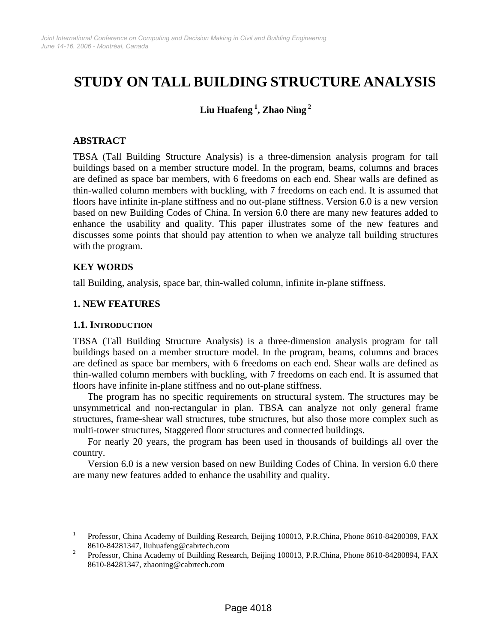# **STUDY ON TALL BUILDING STRUCTURE ANALYSIS**

 $L$ iu Huafeng<sup>1</sup>, Zhao Ning<sup>[2](#page-0-1)</sup>

# **ABSTRACT**

TBSA (Tall Building Structure Analysis) is a three-dimension analysis program for tall buildings based on a member structure model. In the program, beams, columns and braces are defined as space bar members, with 6 freedoms on each end. Shear walls are defined as thin-walled column members with buckling, with 7 freedoms on each end. It is assumed that floors have infinite in-plane stiffness and no out-plane stiffness. Version 6.0 is a new version based on new Building Codes of China. In version 6.0 there are many new features added to enhance the usability and quality. This paper illustrates some of the new features and discusses some points that should pay attention to when we analyze tall building structures with the program.

# **KEY WORDS**

tall Building, analysis, space bar, thin-walled column, infinite in-plane stiffness.

# **1. NEW FEATURES**

## **1.1. INTRODUCTION**

TBSA (Tall Building Structure Analysis) is a three-dimension analysis program for tall buildings based on a member structure model. In the program, beams, columns and braces are defined as space bar members, with 6 freedoms on each end. Shear walls are defined as thin-walled column members with buckling, with 7 freedoms on each end. It is assumed that floors have infinite in-plane stiffness and no out-plane stiffness.

The program has no specific requirements on structural system. The structures may be unsymmetrical and non-rectangular in plan. TBSA can analyze not only general frame structures, frame-shear wall structures, tube structures, but also those more complex such as multi-tower structures, Staggered floor structures and connected buildings.

For nearly 20 years, the program has been used in thousands of buildings all over the country.

Version 6.0 is a new version based on new Building Codes of China. In version 6.0 there are many new features added to enhance the usability and quality.

<span id="page-0-0"></span> $\frac{1}{1}$  Professor, China Academy of Building Research, Beijing 100013, P.R.China, Phone 8610-84280389, FAX 8610-84281347, liuhuafeng@cabrtech.com<br><sup>2</sup> Professor, China Academy of Building Pess

<span id="page-0-1"></span>Professor, China Academy of Building Research, Beijing 100013, P.R.China, Phone 8610-84280894, FAX 8610-84281347, zhaoning@cabrtech.com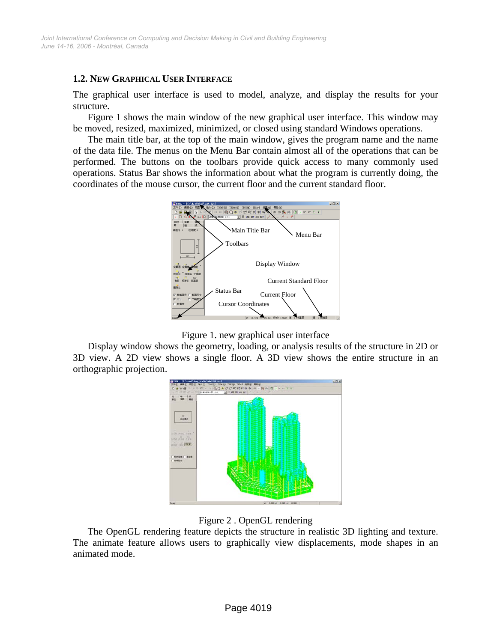# **1.2. NEW GRAPHICAL USER INTERFACE**

The graphical user interface is used to model, analyze, and display the results for your structure.

Figure 1 shows the main window of the new graphical user interface. This window may be moved, resized, maximized, minimized, or closed using standard Windows operations.

The main title bar, at the top of the main window, gives the program name and the name of the data file. The menus on the Menu Bar contain almost all of the operations that can be performed. The buttons on the toolbars provide quick access to many commonly used operations. Status Bar shows the information about what the program is currently doing, the coordinates of the mouse cursor, the current floor and the current standard floor.



Figure 1. new graphical user interface

Display window shows the geometry, loading, or analysis results of the structure in 2D or 3D view. A 2D view shows a single floor. A 3D view shows the entire structure in an orthographic projection.



Figure 2 . OpenGL rendering

The OpenGL rendering feature depicts the structure in realistic 3D lighting and texture. The animate feature allows users to graphically view displacements, mode shapes in an animated mode.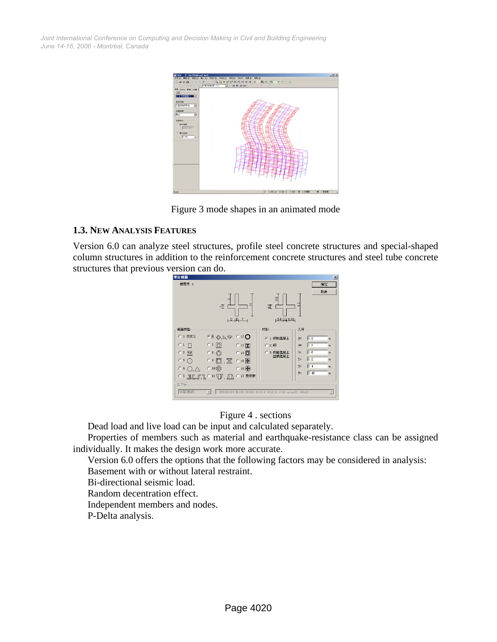*June 14-16, 2006 - Montréal, Canada Joint International Conference on Computing and Decision Making in Civil and Building Engineering*



Figure 3 mode shapes in an animated mode

## **1.3. NEW ANALYSIS FEATURES**

Version 6.0 can analyze steel structures, profile steel concrete structures and special-shaped column structures in addition to the reinforcement concrete structures and steel tube concrete structures that previous version can do.





Dead load and live load can be input and calculated separately.

Properties of members such as material and earthquake-resistance class can be assigned individually. It makes the design work more accurate.

Version 6.0 offers the options that the following factors may be considered in analysis: Basement with or without lateral restraint.

Bi-directional seismic load.

Random decentration effect.

Independent members and nodes.

P-Delta analysis.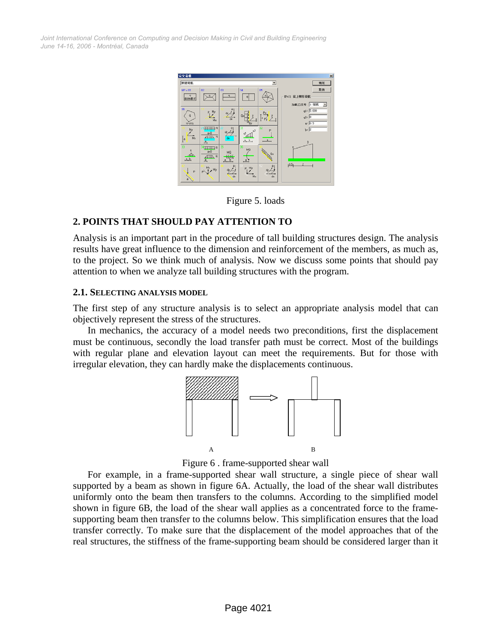*June 14-16, 2006 - Montréal, Canada Joint International Conference on Computing and Decision Making in Civil and Building Engineering*



Figure 5. loads

# **2. POINTS THAT SHOULD PAY ATTENTION TO**

Analysis is an important part in the procedure of tall building structures design. The analysis results have great influence to the dimension and reinforcement of the members, as much as, to the project. So we think much of analysis. Now we discuss some points that should pay attention to when we analyze tall building structures with the program.

#### **2.1. SELECTING ANALYSIS MODEL**

The first step of any structure analysis is to select an appropriate analysis model that can objectively represent the stress of the structures.

In mechanics, the accuracy of a model needs two preconditions, first the displacement must be continuous, secondly the load transfer path must be correct. Most of the buildings with regular plane and elevation layout can meet the requirements. But for those with irregular elevation, they can hardly make the displacements continuous.



Figure 6 . frame-supported shear wall

For example, in a frame-supported shear wall structure, a single piece of shear wall supported by a beam as shown in figure 6A. Actually, the load of the shear wall distributes uniformly onto the beam then transfers to the columns. According to the simplified model shown in figure 6B, the load of the shear wall applies as a concentrated force to the framesupporting beam then transfer to the columns below. This simplification ensures that the load transfer correctly. To make sure that the displacement of the model approaches that of the real structures, the stiffness of the frame-supporting beam should be considered larger than it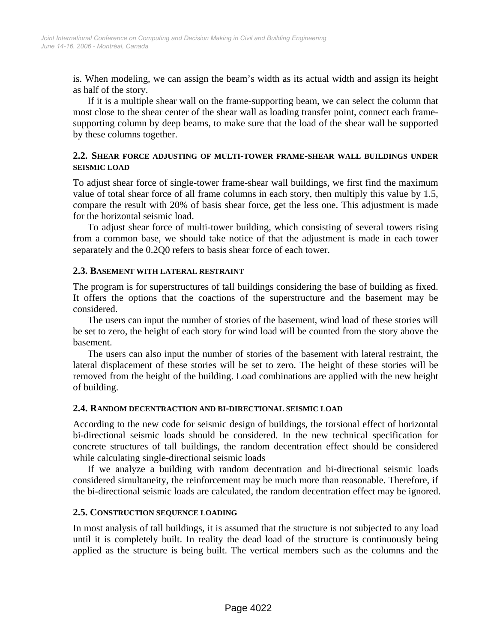is. When modeling, we can assign the beam's width as its actual width and assign its height as half of the story.

If it is a multiple shear wall on the frame-supporting beam, we can select the column that most close to the shear center of the shear wall as loading transfer point, connect each framesupporting column by deep beams, to make sure that the load of the shear wall be supported by these columns together.

## **2.2. SHEAR FORCE ADJUSTING OF MULTI-TOWER FRAME-SHEAR WALL BUILDINGS UNDER SEISMIC LOAD**

To adjust shear force of single-tower frame-shear wall buildings, we first find the maximum value of total shear force of all frame columns in each story, then multiply this value by 1.5, compare the result with 20% of basis shear force, get the less one. This adjustment is made for the horizontal seismic load.

To adjust shear force of multi-tower building, which consisting of several towers rising from a common base, we should take notice of that the adjustment is made in each tower separately and the 0.2Q0 refers to basis shear force of each tower.

## **2.3. BASEMENT WITH LATERAL RESTRAINT**

The program is for superstructures of tall buildings considering the base of building as fixed. It offers the options that the coactions of the superstructure and the basement may be considered.

The users can input the number of stories of the basement, wind load of these stories will be set to zero, the height of each story for wind load will be counted from the story above the basement.

The users can also input the number of stories of the basement with lateral restraint, the lateral displacement of these stories will be set to zero. The height of these stories will be removed from the height of the building. Load combinations are applied with the new height of building.

## **2.4. RANDOM DECENTRACTION AND BI-DIRECTIONAL SEISMIC LOAD**

According to the new code for seismic design of buildings, the torsional effect of horizontal bi-directional seismic loads should be considered. In the new technical specification for concrete structures of tall buildings, the random decentration effect should be considered while calculating single-directional seismic loads

If we analyze a building with random decentration and bi-directional seismic loads considered simultaneity, the reinforcement may be much more than reasonable. Therefore, if the bi-directional seismic loads are calculated, the random decentration effect may be ignored.

## **2.5. CONSTRUCTION SEQUENCE LOADING**

In most analysis of tall buildings, it is assumed that the structure is not subjected to any load until it is completely built. In reality the dead load of the structure is continuously being applied as the structure is being built. The vertical members such as the columns and the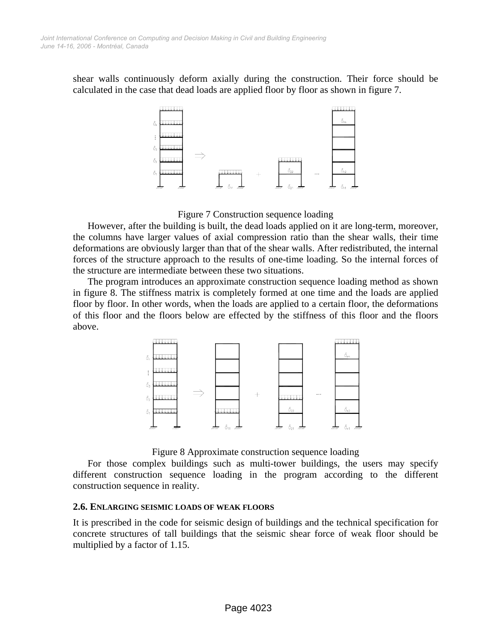shear walls continuously deform axially during the construction. Their force should be calculated in the case that dead loads are applied floor by floor as shown in figure 7.



Figure 7 Construction sequence loading

However, after the building is built, the dead loads applied on it are long-term, moreover, the columns have larger values of axial compression ratio than the shear walls, their time deformations are obviously larger than that of the shear walls. After redistributed, the internal forces of the structure approach to the results of one-time loading. So the internal forces of the structure are intermediate between these two situations.

The program introduces an approximate construction sequence loading method as shown in figure 8. The stiffness matrix is completely formed at one time and the loads are applied floor by floor. In other words, when the loads are applied to a certain floor, the deformations of this floor and the floors below are effected by the stiffness of this floor and the floors above.



Figure 8 Approximate construction sequence loading

For those complex buildings such as multi-tower buildings, the users may specify different construction sequence loading in the program according to the different construction sequence in reality.

## **2.6. ENLARGING SEISMIC LOADS OF WEAK FLOORS**

It is prescribed in the code for seismic design of buildings and the technical specification for concrete structures of tall buildings that the seismic shear force of weak floor should be multiplied by a factor of 1.15.